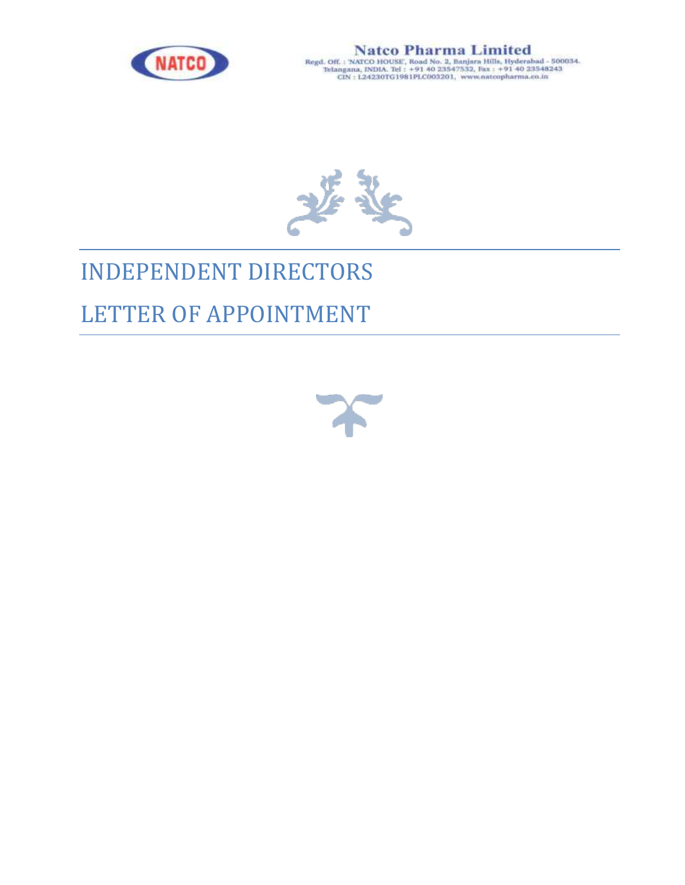

 $\begin{array}{c} \textbf{N} \textbf{atco} \textbf{ Pharma} \textbf{ Limited} \\ \textbf{Regd. OH. : NATCO HOUSE', Road No. 2, Banjara Hills, Hydrotabad - 500034.} \\ \textbf{Tel: agana, INDIA. Tel : +91 40 23547532, Fix : +91 40 23548243} \\ \textbf{CIN : L24230TG1981PLCO03201, www.nateopharma.co.in} \end{array}$ 



# INDEPENDENT DIRECTORS

## LETTER OF APPOINTMENT

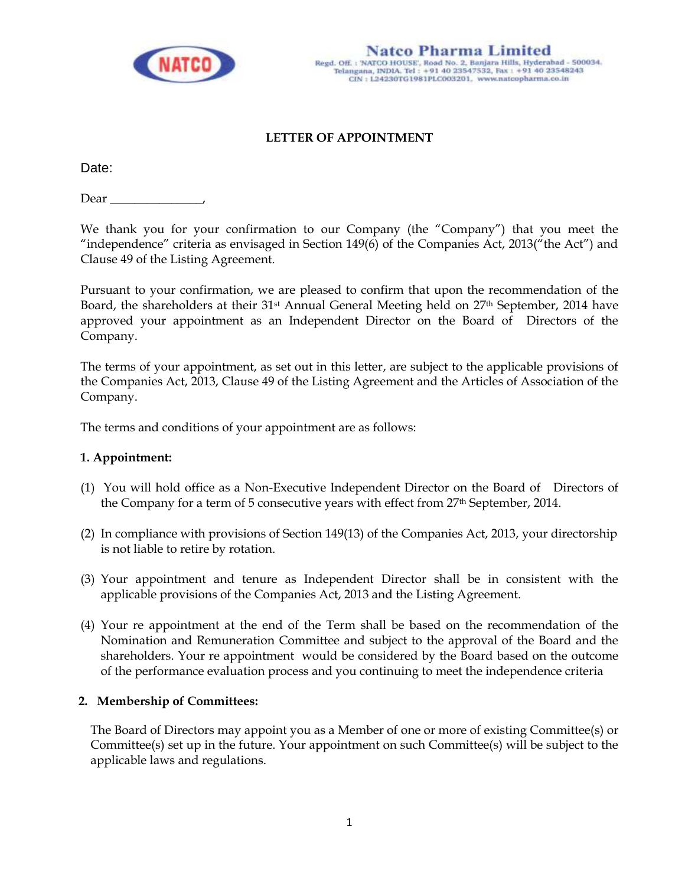

## **LETTER OF APPOINTMENT**

Date:

Dear  $\_\_$ 

We thank you for your confirmation to our Company (the "Company") that you meet the "independence" criteria as envisaged in Section 149(6) of the Companies Act, 2013("the Act") and Clause 49 of the Listing Agreement.

Pursuant to your confirmation, we are pleased to confirm that upon the recommendation of the Board, the shareholders at their 31<sup>st</sup> Annual General Meeting held on 27<sup>th</sup> September, 2014 have approved your appointment as an Independent Director on the Board of Directors of the Company.

The terms of your appointment, as set out in this letter, are subject to the applicable provisions of the Companies Act, 2013, Clause 49 of the Listing Agreement and the Articles of Association of the Company.

The terms and conditions of your appointment are as follows:

#### **1. Appointment:**

- (1) You will hold office as a Non-Executive Independent Director on the Board of Directors of the Company for a term of 5 consecutive years with effect from 27th September, 2014.
- (2) In compliance with provisions of Section 149(13) of the Companies Act, 2013, your directorship is not liable to retire by rotation.
- (3) Your appointment and tenure as Independent Director shall be in consistent with the applicable provisions of the Companies Act, 2013 and the Listing Agreement.
- (4) Your re appointment at the end of the Term shall be based on the recommendation of the Nomination and Remuneration Committee and subject to the approval of the Board and the shareholders. Your re appointment would be considered by the Board based on the outcome of the performance evaluation process and you continuing to meet the independence criteria

#### **2. Membership of Committees:**

The Board of Directors may appoint you as a Member of one or more of existing Committee(s) or Committee(s) set up in the future. Your appointment on such Committee(s) will be subject to the applicable laws and regulations.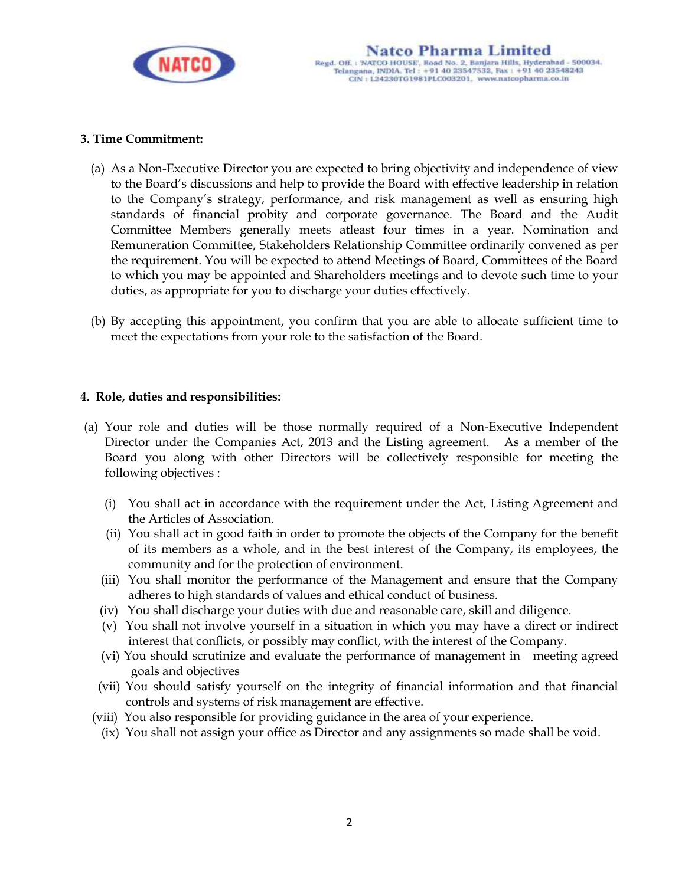

#### **3. Time Commitment:**

- (a) As a Non-Executive Director you are expected to bring objectivity and independence of view to the Board's discussions and help to provide the Board with effective leadership in relation to the Company's strategy, performance, and risk management as well as ensuring high standards of financial probity and corporate governance. The Board and the Audit Committee Members generally meets atleast four times in a year. Nomination and Remuneration Committee, Stakeholders Relationship Committee ordinarily convened as per the requirement. You will be expected to attend Meetings of Board, Committees of the Board to which you may be appointed and Shareholders meetings and to devote such time to your duties, as appropriate for you to discharge your duties effectively.
- (b) By accepting this appointment, you confirm that you are able to allocate sufficient time to meet the expectations from your role to the satisfaction of the Board.

#### **4. Role, duties and responsibilities:**

- (a) Your role and duties will be those normally required of a Non-Executive Independent Director under the Companies Act, 2013 and the Listing agreement. As a member of the Board you along with other Directors will be collectively responsible for meeting the following objectives :
	- (i) You shall act in accordance with the requirement under the Act, Listing Agreement and the Articles of Association.
	- (ii) You shall act in good faith in order to promote the objects of the Company for the benefit of its members as a whole, and in the best interest of the Company, its employees, the community and for the protection of environment.
	- (iii) You shall monitor the performance of the Management and ensure that the Company adheres to high standards of values and ethical conduct of business.
	- (iv) You shall discharge your duties with due and reasonable care, skill and diligence.
	- (v) You shall not involve yourself in a situation in which you may have a direct or indirect interest that conflicts, or possibly may conflict, with the interest of the Company.
	- (vi) You should scrutinize and evaluate the performance of management in meeting agreed goals and objectives
	- (vii) You should satisfy yourself on the integrity of financial information and that financial controls and systems of risk management are effective.
	- (viii) You also responsible for providing guidance in the area of your experience.
		- (ix) You shall not assign your office as Director and any assignments so made shall be void.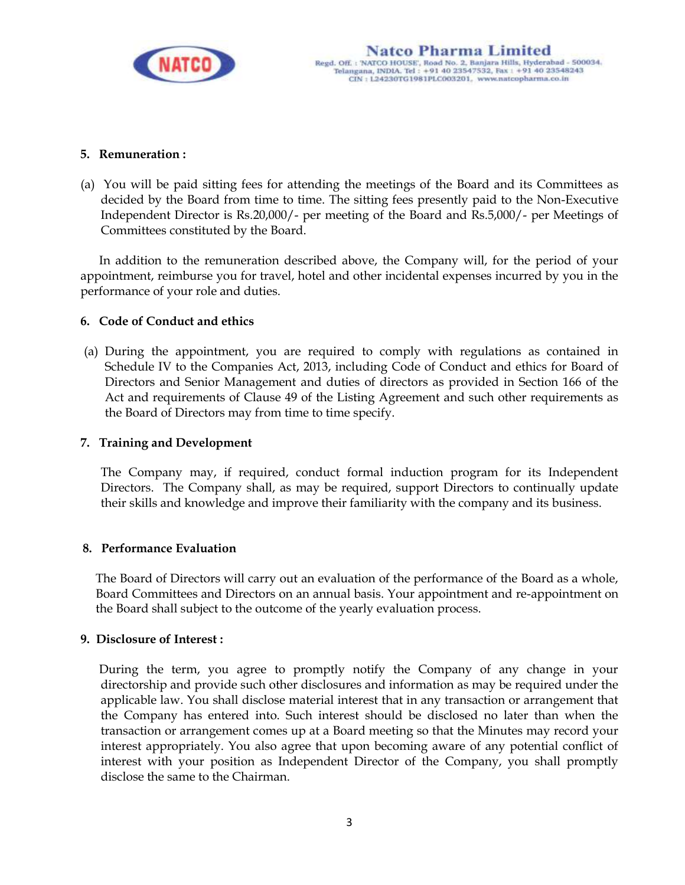

#### **5. Remuneration :**

(a) You will be paid sitting fees for attending the meetings of the Board and its Committees as decided by the Board from time to time. The sitting fees presently paid to the Non-Executive Independent Director is Rs.20,000/- per meeting of the Board and Rs.5,000/- per Meetings of Committees constituted by the Board.

In addition to the remuneration described above, the Company will, for the period of your appointment, reimburse you for travel, hotel and other incidental expenses incurred by you in the performance of your role and duties.

#### **6. Code of Conduct and ethics**

(a) During the appointment, you are required to comply with regulations as contained in Schedule IV to the Companies Act, 2013, including Code of Conduct and ethics for Board of Directors and Senior Management and duties of directors as provided in Section 166 of the Act and requirements of Clause 49 of the Listing Agreement and such other requirements as the Board of Directors may from time to time specify.

#### **7. Training and Development**

The Company may, if required, conduct formal induction program for its Independent Directors. The Company shall, as may be required, support Directors to continually update their skills and knowledge and improve their familiarity with the company and its business.

#### **8. Performance Evaluation**

The Board of Directors will carry out an evaluation of the performance of the Board as a whole, Board Committees and Directors on an annual basis. Your appointment and re-appointment on the Board shall subject to the outcome of the yearly evaluation process.

#### **9. Disclosure of Interest :**

 During the term, you agree to promptly notify the Company of any change in your directorship and provide such other disclosures and information as may be required under the applicable law. You shall disclose material interest that in any transaction or arrangement that the Company has entered into. Such interest should be disclosed no later than when the transaction or arrangement comes up at a Board meeting so that the Minutes may record your interest appropriately. You also agree that upon becoming aware of any potential conflict of interest with your position as Independent Director of the Company, you shall promptly disclose the same to the Chairman.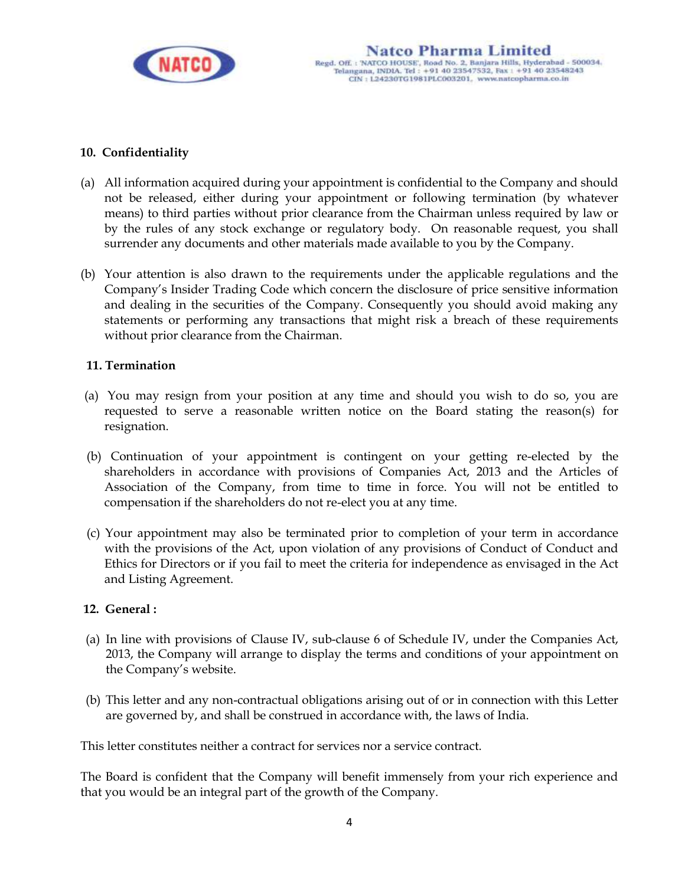

#### **10. Confidentiality**

- (a) All information acquired during your appointment is confidential to the Company and should not be released, either during your appointment or following termination (by whatever means) to third parties without prior clearance from the Chairman unless required by law or by the rules of any stock exchange or regulatory body. On reasonable request, you shall surrender any documents and other materials made available to you by the Company.
- (b) Your attention is also drawn to the requirements under the applicable regulations and the Company's Insider Trading Code which concern the disclosure of price sensitive information and dealing in the securities of the Company. Consequently you should avoid making any statements or performing any transactions that might risk a breach of these requirements without prior clearance from the Chairman.

#### **11. Termination**

- (a) You may resign from your position at any time and should you wish to do so, you are requested to serve a reasonable written notice on the Board stating the reason(s) for resignation.
- (b) Continuation of your appointment is contingent on your getting re-elected by the shareholders in accordance with provisions of Companies Act, 2013 and the Articles of Association of the Company, from time to time in force. You will not be entitled to compensation if the shareholders do not re-elect you at any time.
- (c) Your appointment may also be terminated prior to completion of your term in accordance with the provisions of the Act, upon violation of any provisions of Conduct of Conduct and Ethics for Directors or if you fail to meet the criteria for independence as envisaged in the Act and Listing Agreement.

#### **12. General :**

- (a) In line with provisions of Clause IV, sub-clause 6 of Schedule IV, under the Companies Act, 2013, the Company will arrange to display the terms and conditions of your appointment on the Company's website.
- (b) This letter and any non-contractual obligations arising out of or in connection with this Letter are governed by, and shall be construed in accordance with, the laws of India.

This letter constitutes neither a contract for services nor a service contract.

The Board is confident that the Company will benefit immensely from your rich experience and that you would be an integral part of the growth of the Company.